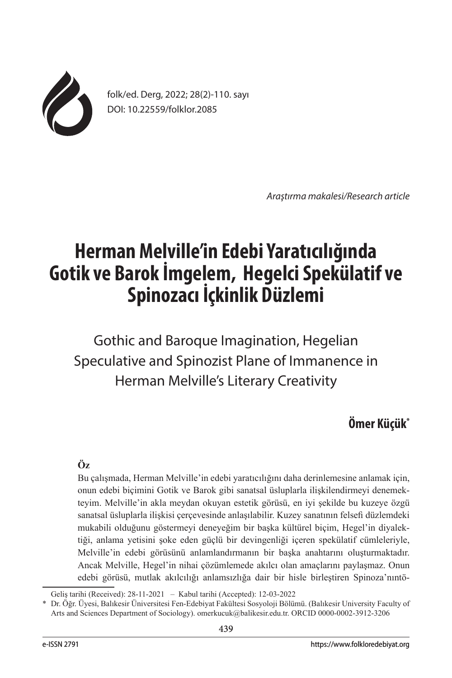

folk/ed. Derg, 2022; 28(2)-110. sayı DOI: 10.22559/folklor.2085

*Araştırma makalesi/Research article*

# **Herman Melville'in Edebi Yaratıcılığında Gotik ve Barok İmgelem, Hegelci Spekülatif ve Spinozacı İçkinlik Düzlemi**

Gothic and Baroque Imagination, Hegelian Speculative and Spinozist Plane of Immanence in Herman Melville's Literary Creativity

## **Ömer Küçük\***

## **Öz**

Bu çalışmada, Herman Melville'in edebi yaratıcılığını daha derinlemesine anlamak için, onun edebi biçimini Gotik ve Barok gibi sanatsal üsluplarla ilişkilendirmeyi denemekteyim. Melville'in akla meydan okuyan estetik görüsü, en iyi şekilde bu kuzeye özgü sanatsal üsluplarla ilişkisi çerçevesinde anlaşılabilir. Kuzey sanatının felsefi düzlemdeki mukabili olduğunu göstermeyi deneyeğim bir başka kültürel biçim, Hegel'in diyalektiği, anlama yetisini şoke eden güçlü bir devingenliği içeren spekülatif cümleleriyle, Melville'in edebi görüsünü anlamlandırmanın bir başka anahtarını oluşturmaktadır. Ancak Melville, Hegel'in nihai çözümlemede akılcı olan amaçlarını paylaşmaz. Onun edebi görüsü, mutlak akılcılığı anlamsızlığa dair bir hisle birleştiren Spinoza'nıntö-

Geliş tarihi (Received): 28-11-2021 – Kabul tarihi (Accepted): 12-03-2022

<sup>\*</sup> Dr. Öğr. Üyesi, Balıkesir Üniversitesi Fen-Edebiyat Fakültesi Sosyoloji Bölümü. (Balıkesir University Faculty of Arts and Sciences Department of Sociology). omerkucuk@balikesir.edu.tr. ORCID 0000-0002-3912-3206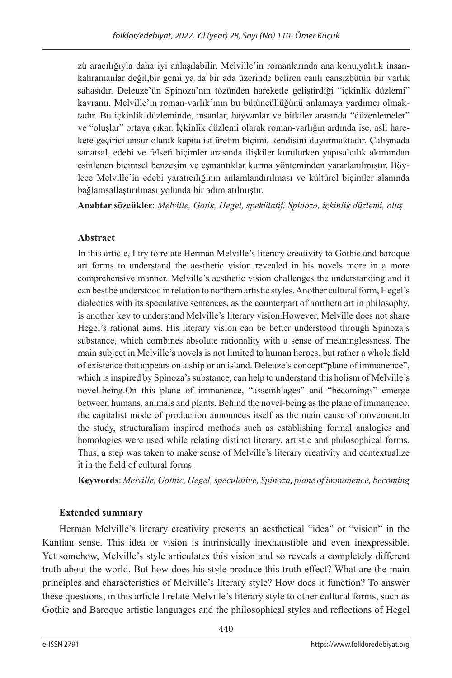zü aracılığıyla daha iyi anlaşılabilir. Melville'in romanlarında ana konu,yalıtık insankahramanlar değil,bir gemi ya da bir ada üzerinde beliren canlı cansızbütün bir varlık sahasıdır. Deleuze'ün Spinoza'nın tözünden hareketle geliştirdiği "içkinlik düzlemi" kavramı, Melville'in roman-varlık'ının bu bütüncüllüğünü anlamaya yardımcı olmaktadır. Bu içkinlik düzleminde, insanlar, hayvanlar ve bitkiler arasında "düzenlemeler" ve "oluşlar" ortaya çıkar. İçkinlik düzlemi olarak roman-varlığın ardında ise, asli harekete geçirici unsur olarak kapitalist üretim biçimi, kendisini duyurmaktadır. Çalışmada sanatsal, edebi ve felsefi biçimler arasında ilişkiler kurulurken yapısalcılık akımından esinlenen biçimsel benzeşim ve eşmantıklar kurma yönteminden yararlanılmıştır. Böylece Melville'in edebi yaratıcılığının anlamlandırılması ve kültürel biçimler alanında bağlamsallaştırılması yolunda bir adım atılmıştır.

**Anahtar sözcükler**: *Melville, Gotik, Hegel, spekülatif, Spinoza, içkinlik düzlemi, oluş*

## **Abstract**

In this article, I try to relate Herman Melville's literary creativity to Gothic and baroque art forms to understand the aesthetic vision revealed in his novels more in a more comprehensive manner. Melville's aesthetic vision challenges the understanding and it can best be understood in relation to northern artistic styles. Another cultural form, Hegel's dialectics with its speculative sentences, as the counterpart of northern art in philosophy, is another key to understand Melville's literary vision.However, Melville does not share Hegel's rational aims. His literary vision can be better understood through Spinoza's substance, which combines absolute rationality with a sense of meaninglessness. The main subject in Melville's novels is not limited to human heroes, but rather a whole field of existence that appears on a ship or an island. Deleuze's concept"plane of immanence", which is inspired by Spinoza's substance, can help to understand this holism of Melville's novel-being.On this plane of immanence, "assemblages" and "becomings" emerge between humans, animals and plants. Behind the novel-being as the plane of immanence, the capitalist mode of production announces itself as the main cause of movement.In the study, structuralism inspired methods such as establishing formal analogies and homologies were used while relating distinct literary, artistic and philosophical forms. Thus, a step was taken to make sense of Melville's literary creativity and contextualize it in the field of cultural forms.

**Keywords**: *Melville, Gothic, Hegel, speculative, Spinoza, plane of immanence, becoming*

## **Extended summary**

Herman Melville's literary creativity presents an aesthetical "idea" or "vision" in the Kantian sense. This idea or vision is intrinsically inexhaustible and even inexpressible. Yet somehow, Melville's style articulates this vision and so reveals a completely different truth about the world. But how does his style produce this truth effect? What are the main principles and characteristics of Melville's literary style? How does it function? To answer these questions, in this article I relate Melville's literary style to other cultural forms, such as Gothic and Baroque artistic languages and the philosophical styles and reflections of Hegel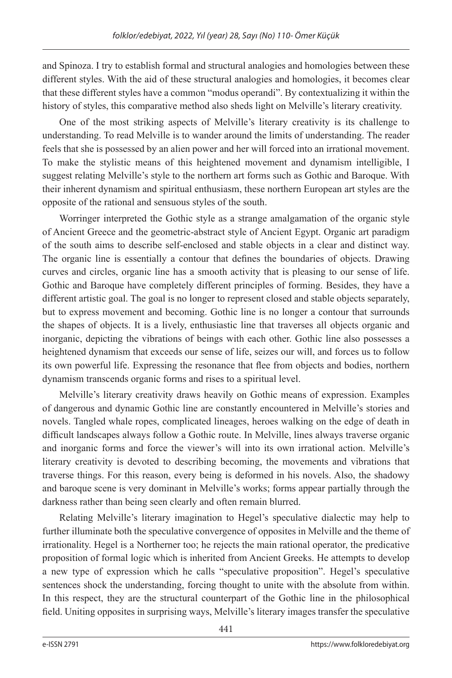and Spinoza. I try to establish formal and structural analogies and homologies between these different styles. With the aid of these structural analogies and homologies, it becomes clear that these different styles have a common "modus operandi". By contextualizing it within the history of styles, this comparative method also sheds light on Melville's literary creativity.

One of the most striking aspects of Melville's literary creativity is its challenge to understanding. To read Melville is to wander around the limits of understanding. The reader feels that she is possessed by an alien power and her will forced into an irrational movement. To make the stylistic means of this heightened movement and dynamism intelligible, I suggest relating Melville's style to the northern art forms such as Gothic and Baroque. With their inherent dynamism and spiritual enthusiasm, these northern European art styles are the opposite of the rational and sensuous styles of the south.

Worringer interpreted the Gothic style as a strange amalgamation of the organic style of Ancient Greece and the geometric-abstract style of Ancient Egypt. Organic art paradigm of the south aims to describe self-enclosed and stable objects in a clear and distinct way. The organic line is essentially a contour that defines the boundaries of objects. Drawing curves and circles, organic line has a smooth activity that is pleasing to our sense of life. Gothic and Baroque have completely different principles of forming. Besides, they have a different artistic goal. The goal is no longer to represent closed and stable objects separately, but to express movement and becoming. Gothic line is no longer a contour that surrounds the shapes of objects. It is a lively, enthusiastic line that traverses all objects organic and inorganic, depicting the vibrations of beings with each other. Gothic line also possesses a heightened dynamism that exceeds our sense of life, seizes our will, and forces us to follow its own powerful life. Expressing the resonance that flee from objects and bodies, northern dynamism transcends organic forms and rises to a spiritual level.

Melville's literary creativity draws heavily on Gothic means of expression. Examples of dangerous and dynamic Gothic line are constantly encountered in Melville's stories and novels. Tangled whale ropes, complicated lineages, heroes walking on the edge of death in difficult landscapes always follow a Gothic route. In Melville, lines always traverse organic and inorganic forms and force the viewer's will into its own irrational action. Melville's literary creativity is devoted to describing becoming, the movements and vibrations that traverse things. For this reason, every being is deformed in his novels. Also, the shadowy and baroque scene is very dominant in Melville's works; forms appear partially through the darkness rather than being seen clearly and often remain blurred.

Relating Melville's literary imagination to Hegel's speculative dialectic may help to further illuminate both the speculative convergence of opposites in Melville and the theme of irrationality. Hegel is a Northerner too; he rejects the main rational operator, the predicative proposition of formal logic which is inherited from Ancient Greeks. He attempts to develop a new type of expression which he calls "speculative proposition". Hegel's speculative sentences shock the understanding, forcing thought to unite with the absolute from within. In this respect, they are the structural counterpart of the Gothic line in the philosophical field. Uniting opposites in surprising ways, Melville's literary images transfer the speculative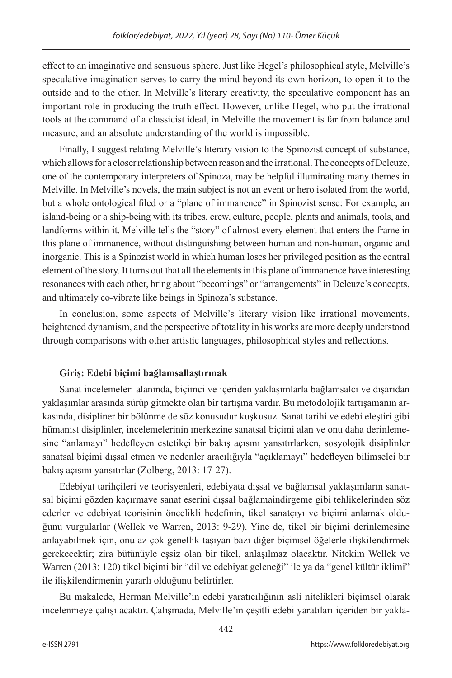effect to an imaginative and sensuous sphere. Just like Hegel's philosophical style, Melville's speculative imagination serves to carry the mind beyond its own horizon, to open it to the outside and to the other. In Melville's literary creativity, the speculative component has an important role in producing the truth effect. However, unlike Hegel, who put the irrational tools at the command of a classicist ideal, in Melville the movement is far from balance and measure, and an absolute understanding of the world is impossible.

Finally, I suggest relating Melville's literary vision to the Spinozist concept of substance, which allows for a closer relationship between reason and the irrational. The concepts of Deleuze, one of the contemporary interpreters of Spinoza, may be helpful illuminating many themes in Melville. In Melville's novels, the main subject is not an event or hero isolated from the world, but a whole ontological filed or a "plane of immanence" in Spinozist sense: For example, an island-being or a ship-being with its tribes, crew, culture, people, plants and animals, tools, and landforms within it. Melville tells the "story" of almost every element that enters the frame in this plane of immanence, without distinguishing between human and non-human, organic and inorganic. This is a Spinozist world in which human loses her privileged position as the central element of the story. It turns out that all the elements in this plane of immanence have interesting resonances with each other, bring about "becomings" or "arrangements" in Deleuze's concepts, and ultimately co-vibrate like beings in Spinoza's substance.

In conclusion, some aspects of Melville's literary vision like irrational movements, heightened dynamism, and the perspective of totality in his works are more deeply understood through comparisons with other artistic languages, philosophical styles and reflections.

## **Giriş: Edebi biçimi bağlamsallaştırmak**

Sanat incelemeleri alanında, biçimci ve içeriden yaklaşımlarla bağlamsalcı ve dışarıdan yaklaşımlar arasında sürüp gitmekte olan bir tartışma vardır. Bu metodolojik tartışamanın arkasında, disipliner bir bölünme de söz konusudur kuşkusuz. Sanat tarihi ve edebi eleştiri gibi hümanist disiplinler, incelemelerinin merkezine sanatsal biçimi alan ve onu daha derinlemesine "anlamayı" hedefleyen estetikçi bir bakış açısını yansıtırlarken, sosyolojik disiplinler sanatsal biçimi dışsal etmen ve nedenler aracılığıyla "açıklamayı" hedefleyen bilimselci bir bakış açısını yansıtırlar (Zolberg, 2013: 17-27).

Edebiyat tarihçileri ve teorisyenleri, edebiyata dışsal ve bağlamsal yaklaşımların sanatsal biçimi gözden kaçırmave sanat eserini dışsal bağlamaindirgeme gibi tehlikelerinden söz ederler ve edebiyat teorisinin öncelikli hedefinin, tikel sanatçıyı ve biçimi anlamak olduğunu vurgularlar (Wellek ve Warren, 2013: 9-29). Yine de, tikel bir biçimi derinlemesine anlayabilmek için, onu az çok genellik taşıyan bazı diğer biçimsel öğelerle ilişkilendirmek gerekecektir; zira bütünüyle eşsiz olan bir tikel, anlaşılmaz olacaktır. Nitekim Wellek ve Warren (2013: 120) tikel biçimi bir "dil ve edebiyat geleneği" ile ya da "genel kültür iklimi" ile ilişkilendirmenin yararlı olduğunu belirtirler.

Bu makalede, Herman Melville'in edebi yaratıcılığının asli nitelikleri biçimsel olarak incelenmeye çalışılacaktır. Çalışmada, Melville'in çeşitli edebi yaratıları içeriden bir yakla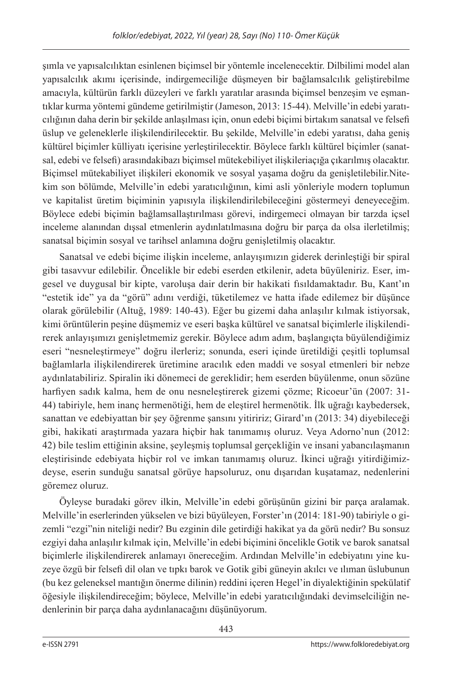şımla ve yapısalcılıktan esinlenen biçimsel bir yöntemle incelenecektir. Dilbilimi model alan yapısalcılık akımı içerisinde, indirgemeciliğe düşmeyen bir bağlamsalcılık geliştirebilme amacıyla, kültürün farklı düzeyleri ve farklı yaratılar arasında biçimsel benzeşim ve eşmantıklar kurma yöntemi gündeme getirilmiştir (Jameson, 2013: 15-44). Melville'in edebi yaratıcılığının daha derin bir şekilde anlaşılması için, onun edebi biçimi birtakım sanatsal ve felsefi üslup ve geleneklerle ilişkilendirilecektir. Bu şekilde, Melville'in edebi yaratısı, daha geniş kültürel biçimler külliyatı içerisine yerleştirilecektir. Böylece farklı kültürel biçimler (sanatsal, edebi ve felsefi) arasındakibazı biçimsel mütekebiliyet ilişkileriaçığa çıkarılmış olacaktır. Biçimsel mütekabiliyet ilişkileri ekonomik ve sosyal yaşama doğru da genişletilebilir.Nitekim son bölümde, Melville'in edebi yaratıcılığının, kimi asli yönleriyle modern toplumun ve kapitalist üretim biçiminin yapısıyla ilişkilendirilebileceğini göstermeyi deneyeceğim. Böylece edebi biçimin bağlamsallaştırılması görevi, indirgemeci olmayan bir tarzda içsel inceleme alanından dışsal etmenlerin aydınlatılmasına doğru bir parça da olsa ilerletilmiş; sanatsal biçimin sosyal ve tarihsel anlamına doğru genişletilmiş olacaktır.

Sanatsal ve edebi biçime ilişkin inceleme, anlayışımızın giderek derinleştiği bir spiral gibi tasavvur edilebilir. Öncelikle bir edebi eserden etkilenir, adeta büyüleniriz. Eser, imgesel ve duygusal bir kipte, varoluşa dair derin bir hakikati fısıldamaktadır. Bu, Kant'ın "estetik ide" ya da "görü" adını verdiği, tüketilemez ve hatta ifade edilemez bir düşünce olarak görülebilir (Altuğ, 1989: 140-43). Eğer bu gizemi daha anlaşılır kılmak istiyorsak, kimi örüntülerin peşine düşmemiz ve eseri başka kültürel ve sanatsal biçimlerle ilişkilendirerek anlayışımızı genişletmemiz gerekir. Böylece adım adım, başlangıçta büyülendiğimiz eseri "nesneleştirmeye" doğru ilerleriz; sonunda, eseri içinde üretildiği çeşitli toplumsal bağlamlarla ilişkilendirerek üretimine aracılık eden maddi ve sosyal etmenleri bir nebze aydınlatabiliriz. Spiralin iki dönemeci de gereklidir; hem eserden büyülenme, onun sözüne harfiyen sadık kalma, hem de onu nesneleştirerek gizemi çözme; Ricoeur'ün (2007: 31- 44) tabiriyle, hem inanç hermenötiği, hem de eleştirel hermenötik. İlk uğrağı kaybedersek, sanattan ve edebiyattan bir şey öğrenme şansını yitiririz; Girard'ın (2013: 34) diyebileceği gibi, hakikati araştırmada yazara hiçbir hak tanımamış oluruz. Veya Adorno'nun (2012: 42) bile teslim ettiğinin aksine, şeyleşmiş toplumsal gerçekliğin ve insani yabancılaşmanın eleştirisinde edebiyata hiçbir rol ve imkan tanımamış oluruz. İkinci uğrağı yitirdiğimizdeyse, eserin sunduğu sanatsal görüye hapsoluruz, onu dışarıdan kuşatamaz, nedenlerini göremez oluruz.

Öyleyse buradaki görev ilkin, Melville'in edebi görüşünün gizini bir parça aralamak. Melville'in eserlerinden yükselen ve bizi büyüleyen, Forster'ın (2014: 181-90) tabiriyle o gizemli "ezgi"nin niteliği nedir? Bu ezginin dile getirdiği hakikat ya da görü nedir? Bu sonsuz ezgiyi daha anlaşılır kılmak için, Melville'in edebi biçimini öncelikle Gotik ve barok sanatsal biçimlerle ilişkilendirerek anlamayı önereceğim. Ardından Melville'in edebiyatını yine kuzeye özgü bir felsefi dil olan ve tıpkı barok ve Gotik gibi güneyin akılcı ve ılıman üslubunun (bu kez geleneksel mantığın önerme dilinin) reddini içeren Hegel'in diyalektiğinin spekülatif öğesiyle ilişkilendireceğim; böylece, Melville'in edebi yaratıcılığındaki devimselciliğin nedenlerinin bir parça daha aydınlanacağını düşünüyorum.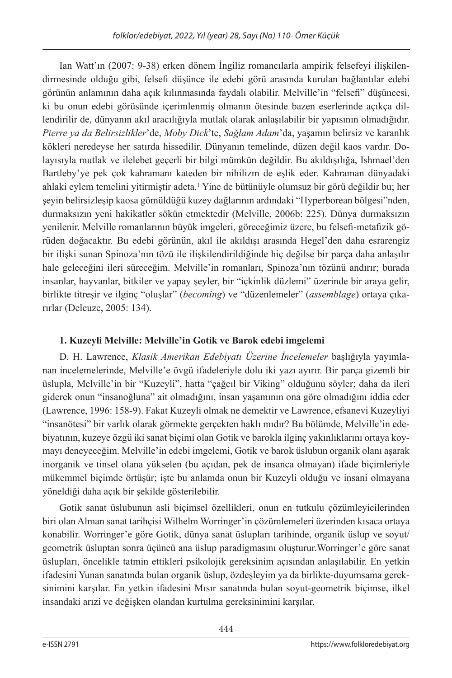Ian Watt'ın (2007: 9-38) erken dönem İngiliz romancılarla ampirik felsefeyi ilişkilendirmesinde olduğu gibi, felsefi düşünce ile edebi görü arasında kurulan bağlantılar edebi görünün anlamının daha açık kılınmasında faydalı olabilir. Melville'in "felsefi" düşüncesi, ki bu onun edebi görüsünde içerimlenmiş olmanın ötesinde bazen eserlerinde açıkça dillendirilir de, dünyanın akıl aracılığıyla mutlak olarak anlaşılabilir bir yapısının olmadığıdır. *Pierre ya da Belirsizlikler*'de, *Moby Dick*'te, *Sağlam Adam*'da, yaşamın belirsiz ve karanlık kökleri neredeyse her satırda hissedilir. Dünyanın temelinde, düzen değil kaos vardır. Dolayısıyla mutlak ve ilelebet geçerli bir bilgi mümkün değildir. Bu akıldışılığa, Ishmael'den Bartleby'ye pek çok kahramanı kateden bir nihilizm de eşlik eder. Kahraman dünyadaki ahlaki eylem temelini yitirmiştir adeta.1 Yine de bütünüyle olumsuz bir görü değildir bu; her şeyin belirsizleşip kaosa gömüldüğü kuzey dağlarının ardındaki "Hyperborean bölgesi"nden, durmaksızın yeni hakikatler sökün etmektedir (Melville, 2006b: 225). Dünya durmaksızın yenilenir. Melville romanlarının büyük imgeleri, göreceğimiz üzere, bu felsefi-metafizik görüden doğacaktır. Bu edebi görünün, akıl ile akıldışı arasında Hegel'den daha esrarengiz bir ilişki sunan Spinoza'nın tözü ile ilişkilendirildiğinde hiç değilse bir parça daha anlaşılır hale geleceğini ileri süreceğim. Melville'in romanları, Spinoza'nın tözünü andırır; burada insanlar, hayvanlar, bitkiler ve yapay şeyler, bir "içkinlik düzlemi" üzerinde bir araya gelir, birlikte titreşir ve ilginç "oluşlar" (*becoming*) ve "düzenlemeler" (*assemblage*) ortaya çıkarırlar (Deleuze, 2005: 134).

## **1. Kuzeyli Melville: Melville'in Gotik ve Barok edebi imgelemi**

D. H. Lawrence, *Klasik Amerikan Edebiyatı Üzerine İncelemeler* başlığıyla yayımlanan incelemelerinde, Melville'e övgü ifadeleriyle dolu iki yazı ayırır. Bir parça gizemli bir üslupla, Melville'in bir "Kuzeyli", hatta "çağcıl bir Viking" olduğunu söyler; daha da ileri giderek onun "insanoğluna" ait olmadığını, insan yaşamının ona göre olmadığını iddia eder (Lawrence, 1996: 158-9). Fakat Kuzeyli olmak ne demektir ve Lawrence, efsanevi Kuzeyliyi "insanötesi" bir varlık olarak görmekte gerçekten haklı mıdır? Bu bölümde, Melville'in edebiyatının, kuzeye özgü iki sanat biçimi olan Gotik ve barokla ilginç yakınlıklarını ortaya koymayı deneyeceğim. Melville'in edebi imgelemi, Gotik ve barok üslubun organik olanı aşarak inorganik ve tinsel olana yükselen (bu açıdan, pek de insanca olmayan) ifade biçimleriyle mükemmel biçimde örtüşür; işte bu anlamda onun bir Kuzeyli olduğu ve insani olmayana yöneldiği daha açık bir şekilde gösterilebilir.

Gotik sanat üslubunun asli biçimsel özellikleri, onun en tutkulu çözümleyicilerinden biri olan Alman sanat tarihçisi Wilhelm Worringer'in çözümlemeleri üzerinden kısaca ortaya konabilir. Worringer'e göre Gotik, dünya sanat üslupları tarihinde, organik üslup ve soyut/ geometrik üsluptan sonra üçüncü ana üslup paradigmasını oluşturur.Worringer'e göre sanat üslupları, öncelikle tatmin ettikleri psikolojik gereksinim açısından anlaşılabilir. En yetkin ifadesini Yunan sanatında bulan organik üslup, özdeşleyim ya da birlikte-duyumsama gereksinimini karşılar. En yetkin ifadesini Mısır sanatında bulan soyut-geometrik biçimse, ilkel insandaki arızi ve değişken olandan kurtulma gereksinimini karşılar.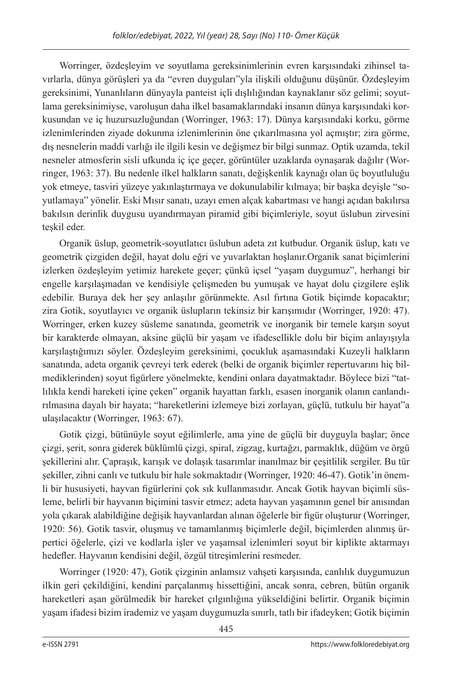Worringer, özdeşleyim ve soyutlama gereksinimlerinin evren karşısındaki zihinsel tavırlarla, dünya görüşleri ya da "evren duyguları"yla ilişkili olduğunu düşünür. Özdeşleyim gereksinimi, Yunanlıların dünyayla panteist içli dışlılığından kaynaklanır söz gelimi; soyutlama gereksinimiyse, varoluşun daha ilkel basamaklarındaki insanın dünya karşısındaki korkusundan ve iç huzursuzluğundan (Worringer, 1963: 17). Dünya karşısındaki korku, görme izlenimlerinden ziyade dokunma izlenimlerinin öne çıkarılmasına yol açmıştır; zira görme, dış nesnelerin maddi varlığı ile ilgili kesin ve değişmez bir bilgi sunmaz. Optik uzamda, tekil nesneler atmosferin sisli ufkunda iç içe geçer, görüntüler uzaklarda oynaşarak dağılır (Worringer, 1963: 37). Bu nedenle ilkel halkların sanatı, değişkenlik kaynağı olan üç boyutluluğu yok etmeye, tasviri yüzeye yakınlaştırmaya ve dokunulabilir kılmaya; bir başka deyişle "soyutlamaya" yönelir. Eski Mısır sanatı, uzayı emen alçak kabartması ve hangi açıdan bakılırsa bakılsın derinlik duygusu uyandırmayan piramid gibi biçimleriyle, soyut üslubun zirvesini teşkil eder.

Organik üslup, geometrik-soyutlatıcı üslubun adeta zıt kutbudur. Organik üslup, katı ve geometrik çizgiden değil, hayat dolu eğri ve yuvarlaktan hoşlanır.Organik sanat biçimlerini izlerken özdeşleyim yetimiz harekete geçer; çünkü içsel "yaşam duygumuz", herhangi bir engelle karşılaşmadan ve kendisiyle çelişmeden bu yumuşak ve hayat dolu çizgilere eşlik edebilir. Buraya dek her şey anlaşılır görünmekte. Asıl fırtına Gotik biçimde kopacaktır; zira Gotik, soyutlayıcı ve organik üslupların tekinsiz bir karışımıdır (Worringer, 1920: 47). Worringer, erken kuzey süsleme sanatında, geometrik ve inorganik bir temele karşın soyut bir karakterde olmayan, aksine güçlü bir yaşam ve ifadesellikle dolu bir biçim anlayışıyla karşılaştığımızı söyler. Özdeşleyim gereksinimi, çocukluk aşamasındaki Kuzeyli halkların sanatında, adeta organik çevreyi terk ederek (belki de organik biçimler repertuvarını hiç bilmediklerinden) soyut figürlere yönelmekte, kendini onlara dayatmaktadır. Böylece bizi "tatlılıkla kendi hareketi içine çeken" organik hayattan farklı, esasen inorganik olanın canlandırılmasına dayalı bir hayata; "hareketlerini izlemeye bizi zorlayan, güçlü, tutkulu bir hayat"a ulaşılacaktır (Worringer, 1963: 67).

Gotik çizgi, bütünüyle soyut eğilimlerle, ama yine de güçlü bir duyguyla başlar; önce çizgi, şerit, sonra giderek büklümlü çizgi, spiral, zigzag, kurtağzı, parmaklık, düğüm ve örgü şekillerini alır. Çapraşık, karışık ve dolaşık tasarımlar inanılmaz bir çeşitlilik sergiler. Bu tür şekiller, zihni canlı ve tutkulu bir hale sokmaktadır (Worringer, 1920: 46-47). Gotik'in önemli bir hususiyeti, hayvan figürlerini çok sık kullanmasıdır. Ancak Gotik hayvan biçimli süsleme, belirli bir hayvanın biçimini tasvir etmez; adeta hayvan yaşamının genel bir anısından yola çıkarak alabildiğine değişik hayvanlardan alınan öğelerle bir figür oluşturur (Worringer, 1920: 56). Gotik tasvir, oluşmuş ve tamamlanmış biçimlerle değil, biçimlerden alınmış ürpertici öğelerle, çizi ve kodlarla işler ve yaşamsal izlenimleri soyut bir kiplikte aktarmayı hedefler. Hayvanın kendisini değil, özgül titreşimlerini resmeder.

Worringer (1920: 47), Gotik çizginin anlamsız vahşeti karşısında, canlılık duygumuzun ilkin geri çekildiğini, kendini parçalanmış hissettiğini, ancak sonra, cebren, bütün organik hareketleri aşan görülmedik bir hareket çılgınlığına yükseldiğini belirtir. Organik biçimin yaşam ifadesi bizim irademiz ve yaşam duygumuzla sınırlı, tatlı bir ifadeyken; Gotik biçimin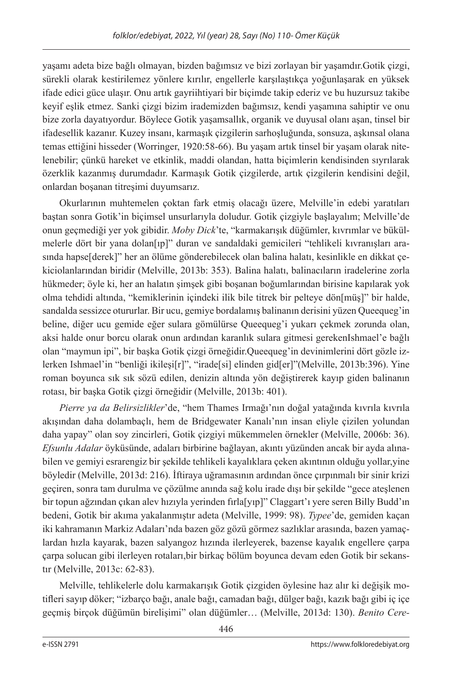yaşamı adeta bize bağlı olmayan, bizden bağımsız ve bizi zorlayan bir yaşamdır.Gotik çizgi, sürekli olarak kestirilemez yönlere kırılır, engellerle karşılaştıkça yoğunlaşarak en yüksek ifade edici güce ulaşır. Onu artık gayriihtiyari bir biçimde takip ederiz ve bu huzursuz takibe keyif eşlik etmez. Sanki çizgi bizim irademizden bağımsız, kendi yaşamına sahiptir ve onu bize zorla dayatıyordur. Böylece Gotik yaşamsallık, organik ve duyusal olanı aşan, tinsel bir ifadesellik kazanır. Kuzey insanı, karmaşık çizgilerin sarhoşluğunda, sonsuza, aşkınsal olana temas ettiğini hisseder (Worringer, 1920:58-66). Bu yaşam artık tinsel bir yaşam olarak nitelenebilir; çünkü hareket ve etkinlik, maddi olandan, hatta biçimlerin kendisinden sıyrılarak özerklik kazanmış durumdadır. Karmaşık Gotik çizgilerde, artık çizgilerin kendisini değil, onlardan boşanan titreşimi duyumsarız.

Okurlarının muhtemelen çoktan fark etmiş olacağı üzere, Melville'in edebi yaratıları baştan sonra Gotik'in biçimsel unsurlarıyla doludur. Gotik çizgiyle başlayalım; Melville'de onun geçmediği yer yok gibidir. *Moby Dick*'te, "karmakarışık düğümler, kıvrımlar ve bükülmelerle dört bir yana dolan[ıp]" duran ve sandaldaki gemicileri "tehlikeli kıvranışları arasında hapse[derek]" her an ölüme gönderebilecek olan balina halatı, kesinlikle en dikkat çekiciolanlarından biridir (Melville, 2013b: 353). Balina halatı, balinacıların iradelerine zorla hükmeder; öyle ki, her an halatın şimşek gibi boşanan boğumlarından birisine kapılarak yok olma tehdidi altında, "kemiklerinin içindeki ilik bile titrek bir pelteye dön[müş]" bir halde, sandalda sessizce otururlar. Bir ucu, gemiye bordalamış balinanın derisini yüzen Queequeg'in beline, diğer ucu gemide eğer sulara gömülürse Queequeg'i yukarı çekmek zorunda olan, aksi halde onur borcu olarak onun ardından karanlık sulara gitmesi gerekenIshmael'e bağlı olan "maymun ipi", bir başka Gotik çizgi örneğidir.Queequeg'in devinimlerini dört gözle izlerken Ishmael'in "benliği ikileşi[r]", "irade[si] elinden gid[er]"(Melville, 2013b:396). Yine roman boyunca sık sık sözü edilen, denizin altında yön değiştirerek kayıp giden balinanın rotası, bir başka Gotik çizgi örneğidir (Melville, 2013b: 401).

*Pierre ya da Belirsizlikler*'de, "hem Thames Irmağı'nın doğal yatağında kıvrıla kıvrıla akışından daha dolambaçlı, hem de Bridgewater Kanalı'nın insan eliyle çizilen yolundan daha yapay" olan soy zincirleri, Gotik çizgiyi mükemmelen örnekler (Melville, 2006b: 36). *Efsunlu Adalar* öyküsünde, adaları birbirine bağlayan, akıntı yüzünden ancak bir ayda alınabilen ve gemiyi esrarengiz bir şekilde tehlikeli kayalıklara çeken akıntının olduğu yollar,yine böyledir (Melville, 2013d: 216). İftiraya uğramasının ardından önce çırpınmalı bir sinir krizi geçiren, sonra tam durulma ve çözülme anında sağ kolu irade dışı bir şekilde "gece ateşlenen bir topun ağzından çıkan alev hızıyla yerinden fırla[yıp]" Claggart'ı yere seren Billy Budd'ın bedeni, Gotik bir akıma yakalanmıştır adeta (Melville, 1999: 98). *Typee*'de, gemiden kaçan iki kahramanın Markiz Adaları'nda bazen göz gözü görmez sazlıklar arasında, bazen yamaçlardan hızla kayarak, bazen salyangoz hızında ilerleyerek, bazense kayalık engellere çarpa çarpa solucan gibi ilerleyen rotaları,bir birkaç bölüm boyunca devam eden Gotik bir sekanstır (Melville, 2013c: 62-83).

Melville, tehlikelerle dolu karmakarışık Gotik çizgiden öylesine haz alır ki değişik motifleri sayıp döker; "izbarço bağı, anale bağı, camadan bağı, dülger bağı, kazık bağı gibi iç içe geçmiş birçok düğümün birelişimi" olan düğümler… (Melville, 2013d: 130). *Benito Cere-*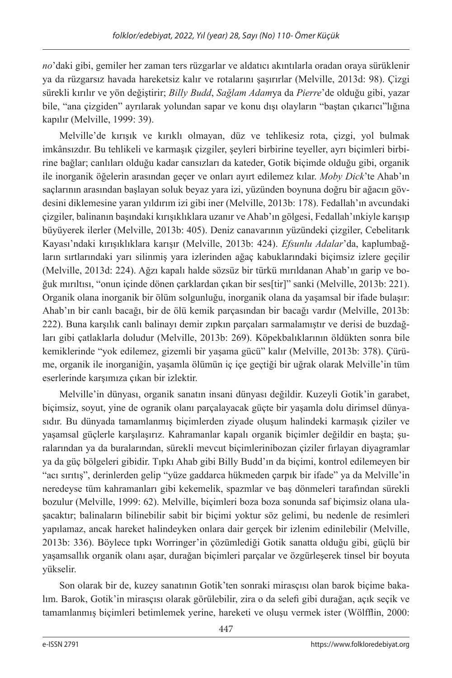*no*'daki gibi, gemiler her zaman ters rüzgarlar ve aldatıcı akıntılarla oradan oraya sürüklenir ya da rüzgarsız havada hareketsiz kalır ve rotalarını şaşırırlar (Melville, 2013d: 98). Çizgi sürekli kırılır ve yön değiştirir; *Billy Budd*, *Sağlam Adam*ya da *Pierre*'de olduğu gibi, yazar bile, "ana çizgiden" ayrılarak yolundan sapar ve konu dışı olayların "baştan çıkarıcı"lığına kapılır (Melville, 1999: 39).

Melville'de kırışık ve kırıklı olmayan, düz ve tehlikesiz rota, çizgi, yol bulmak imkânsızdır. Bu tehlikeli ve karmaşık çizgiler, şeyleri birbirine teyeller, ayrı biçimleri birbirine bağlar; canlıları olduğu kadar cansızları da kateder, Gotik biçimde olduğu gibi, organik ile inorganik öğelerin arasından geçer ve onları ayırt edilemez kılar. *Moby Dick*'te Ahab'ın saçlarının arasından başlayan soluk beyaz yara izi, yüzünden boynuna doğru bir ağacın gövdesini diklemesine yaran yıldırım izi gibi iner (Melville, 2013b: 178). Fedallah'ın avcundaki çizgiler, balinanın başındaki kırışıklıklara uzanır ve Ahab'ın gölgesi, Fedallah'ınkiyle karışıp büyüyerek ilerler (Melville, 2013b: 405). Deniz canavarının yüzündeki çizgiler, Cebelitarık Kayası'ndaki kırışıklıklara karışır (Melville, 2013b: 424). *Efsunlu Adalar*'da, kaplumbağların sırtlarındaki yarı silinmiş yara izlerinden ağaç kabuklarındaki biçimsiz izlere geçilir (Melville, 2013d: 224). Ağzı kapalı halde sözsüz bir türkü mırıldanan Ahab'ın garip ve boğuk mırıltısı, "onun içinde dönen çarklardan çıkan bir ses[tir]" sanki (Melville, 2013b: 221). Organik olana inorganik bir ölüm solgunluğu, inorganik olana da yaşamsal bir ifade bulaşır: Ahab'ın bir canlı bacağı, bir de ölü kemik parçasından bir bacağı vardır (Melville, 2013b: 222). Buna karşılık canlı balinayı demir zıpkın parçaları sarmalamıştır ve derisi de buzdağları gibi çatlaklarla doludur (Melville, 2013b: 269). Köpekbalıklarının öldükten sonra bile kemiklerinde "yok edilemez, gizemli bir yaşama gücü" kalır (Melville, 2013b: 378). Çürüme, organik ile inorganiğin, yaşamla ölümün iç içe geçtiği bir uğrak olarak Melville'in tüm eserlerinde karşımıza çıkan bir izlektir.

Melville'in dünyası, organik sanatın insani dünyası değildir. Kuzeyli Gotik'in garabet, biçimsiz, soyut, yine de ogranik olanı parçalayacak güçte bir yaşamla dolu dirimsel dünyasıdır. Bu dünyada tamamlanmış biçimlerden ziyade oluşum halindeki karmaşık çiziler ve yaşamsal güçlerle karşılaşırız. Kahramanlar kapalı organik biçimler değildir en başta; şuralarından ya da buralarından, sürekli mevcut biçimlerinibozan çiziler fırlayan diyagramlar ya da güç bölgeleri gibidir. Tıpkı Ahab gibi Billy Budd'ın da biçimi, kontrol edilemeyen bir "acı sırıtış", derinlerden gelip "yüze gaddarca hükmeden çarpık bir ifade" ya da Melville'in neredeyse tüm kahramanları gibi kekemelik, spazmlar ve baş dönmeleri tarafından sürekli bozulur (Melville, 1999: 62). Melville, biçimleri boza boza sonunda saf biçimsiz olana ulaşacaktır; balinaların bilinebilir sabit bir biçimi yoktur söz gelimi, bu nedenle de resimleri yapılamaz, ancak hareket halindeyken onlara dair gerçek bir izlenim edinilebilir (Melville, 2013b: 336). Böylece tıpkı Worringer'in çözümlediği Gotik sanatta olduğu gibi, güçlü bir yaşamsallık organik olanı aşar, durağan biçimleri parçalar ve özgürleşerek tinsel bir boyuta yükselir.

Son olarak bir de, kuzey sanatının Gotik'ten sonraki mirasçısı olan barok biçime bakalım. Barok, Gotik'in mirasçısı olarak görülebilir, zira o da selefi gibi durağan, açık seçik ve tamamlanmış biçimleri betimlemek yerine, hareketi ve oluşu vermek ister (Wölfflin, 2000: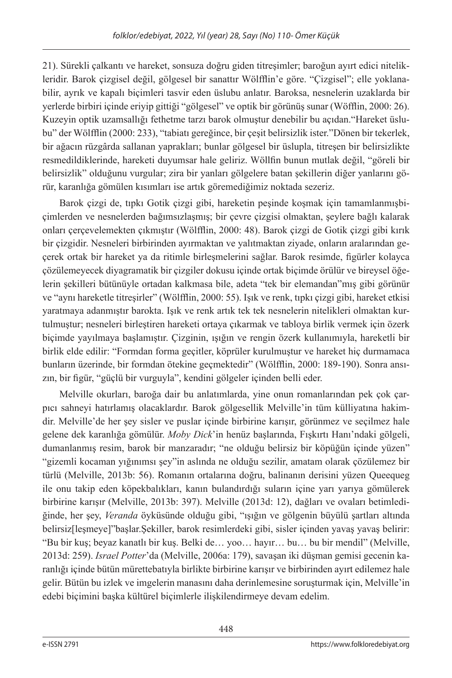21). Sürekli çalkantı ve hareket, sonsuza doğru giden titreşimler; baroğun ayırt edici nitelikleridir. Barok çizgisel değil, gölgesel bir sanattır Wölfflin'e göre. "Çizgisel"; elle yoklanabilir, ayrık ve kapalı biçimleri tasvir eden üslubu anlatır. Baroksa, nesnelerin uzaklarda bir yerlerde birbiri içinde eriyip gittiği "gölgesel" ve optik bir görünüş sunar (Wöfflin, 2000: 26). Kuzeyin optik uzamsallığı fethetme tarzı barok olmuştur denebilir bu açıdan."Hareket üslubu" der Wölfflin (2000: 233), "tabiatı gereğince, bir çeşit belirsizlik ister."Dönen bir tekerlek, bir ağacın rüzgârda sallanan yaprakları; bunlar gölgesel bir üslupla, titreşen bir belirsizlikte resmedildiklerinde, hareketi duyumsar hale geliriz. Wöllfin bunun mutlak değil, "göreli bir belirsizlik" olduğunu vurgular; zira bir yanları gölgelere batan şekillerin diğer yanlarını görür, karanlığa gömülen kısımları ise artık göremediğimiz noktada sezeriz.

Barok çizgi de, tıpkı Gotik çizgi gibi, hareketin peşinde koşmak için tamamlanmışbiçimlerden ve nesnelerden bağımsızlaşmış; bir çevre çizgisi olmaktan, şeylere bağlı kalarak onları çerçevelemekten çıkmıştır (Wölfflin, 2000: 48). Barok çizgi de Gotik çizgi gibi kırık bir çizgidir. Nesneleri birbirinden ayırmaktan ve yalıtmaktan ziyade, onların aralarından geçerek ortak bir hareket ya da ritimle birleşmelerini sağlar. Barok resimde, figürler kolayca çözülemeyecek diyagramatik bir çizgiler dokusu içinde ortak biçimde örülür ve bireysel öğelerin şekilleri bütünüyle ortadan kalkmasa bile, adeta "tek bir elemandan"mış gibi görünür ve "aynı hareketle titreşirler" (Wölfflin, 2000: 55). Işık ve renk, tıpkı çizgi gibi, hareket etkisi yaratmaya adanmıştır barokta. Işık ve renk artık tek tek nesnelerin nitelikleri olmaktan kurtulmuştur; nesneleri birleştiren hareketi ortaya çıkarmak ve tabloya birlik vermek için özerk biçimde yayılmaya başlamıştır. Çizginin, ışığın ve rengin özerk kullanımıyla, hareketli bir birlik elde edilir: "Formdan forma geçitler, köprüler kurulmuştur ve hareket hiç durmamaca bunların üzerinde, bir formdan ötekine geçmektedir" (Wölfflin, 2000: 189-190). Sonra ansızın, bir figür, "güçlü bir vurguyla", kendini gölgeler içinden belli eder.

Melville okurları, baroğa dair bu anlatımlarda, yine onun romanlarından pek çok çarpıcı sahneyi hatırlamış olacaklardır. Barok gölgesellik Melville'in tüm külliyatına hakimdir. Melville'de her şey sisler ve puslar içinde birbirine karışır, görünmez ve seçilmez hale gelene dek karanlığa gömülür. *Moby Dick*'in henüz başlarında, Fışkırtı Hanı'ndaki gölgeli, dumanlanmış resim, barok bir manzaradır; "ne olduğu belirsiz bir köpüğün içinde yüzen" "gizemli kocaman yığınımsı şey"in aslında ne olduğu sezilir, amatam olarak çözülemez bir türlü (Melville, 2013b: 56). Romanın ortalarına doğru, balinanın derisini yüzen Queequeg ile onu takip eden köpekbalıkları, kanın bulandırdığı suların içine yarı yarıya gömülerek birbirine karışır (Melville, 2013b: 397). Melville (2013d: 12), dağları ve ovaları betimlediğinde, her şey, *Veranda* öyküsünde olduğu gibi, "ışığın ve gölgenin büyülü şartları altında belirsiz[leşmeye]"başlar.Şekiller, barok resimlerdeki gibi, sisler içinden yavaş yavaş belirir: "Bu bir kuş; beyaz kanatlı bir kuş. Belki de… yoo… hayır… bu… bu bir mendil" (Melville, 2013d: 259). *Israel Potter*'da (Melville, 2006a: 179), savaşan iki düşman gemisi gecenin karanlığı içinde bütün mürettebatıyla birlikte birbirine karışır ve birbirinden ayırt edilemez hale gelir. Bütün bu izlek ve imgelerin manasını daha derinlemesine soruşturmak için, Melville'in edebi biçimini başka kültürel biçimlerle ilişkilendirmeye devam edelim.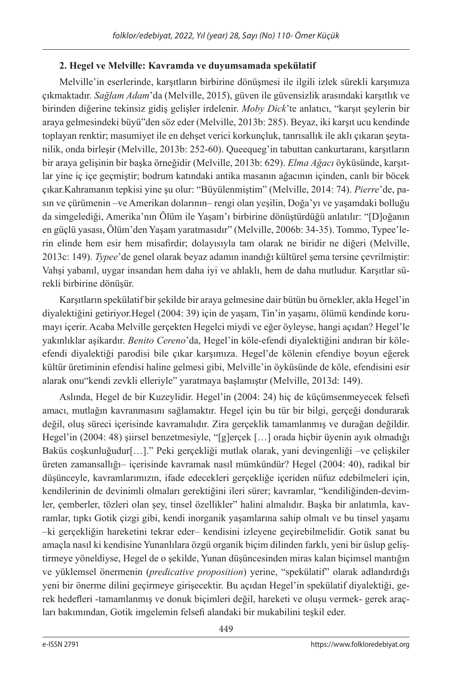## **2. Hegel ve Melville: Kavramda ve duyumsamada spekülatif**

Melville'in eserlerinde, karşıtların birbirine dönüşmesi ile ilgili izlek sürekli karşımıza çıkmaktadır. *Sağlam Adam*'da (Melville, 2015), güven ile güvensizlik arasındaki karşıtlık ve birinden diğerine tekinsiz gidiş gelişler irdelenir. *Moby Dick*'te anlatıcı, "karşıt şeylerin bir araya gelmesindeki büyü"den söz eder (Melville, 2013b: 285). Beyaz, iki karşıt ucu kendinde toplayan renktir; masumiyet ile en dehşet verici korkunçluk, tanrısallık ile aklı çıkaran şeytanilik, onda birleşir (Melville, 2013b: 252-60). Queequeg'in tabuttan cankurtaranı, karşıtların bir araya gelişinin bir başka örneğidir (Melville, 2013b: 629). *Elma Ağacı* öyküsünde, karşıtlar yine iç içe geçmiştir; bodrum katındaki antika masanın ağacının içinden, canlı bir böcek çıkar.Kahramanın tepkisi yine şu olur: "Büyülenmiştim" (Melville, 2014: 74). *Pierre*'de, pasın ve çürümenin –ve Amerikan dolarının– rengi olan yeşilin, Doğa'yı ve yaşamdaki bolluğu da simgelediği, Amerika'nın Ölüm ile Yaşam'ı birbirine dönüştürdüğü anlatılır: "[D]oğanın en güçlü yasası, Ölüm'den Yaşam yaratmasıdır" (Melville, 2006b: 34-35). Tommo, Typee'lerin elinde hem esir hem misafirdir; dolayısıyla tam olarak ne biridir ne diğeri (Melville, 2013c: 149). *Typee*'de genel olarak beyaz adamın inandığı kültürel şema tersine çevrilmiştir: Vahşi yabanıl, uygar insandan hem daha iyi ve ahlaklı, hem de daha mutludur. Karşıtlar sürekli birbirine dönüşür.

Karşıtların spekülatif bir şekilde bir araya gelmesine dair bütün bu örnekler, akla Hegel'in diyalektiğini getiriyor.Hegel (2004: 39) için de yaşam, Tin'in yaşamı, ölümü kendinde korumayı içerir. Acaba Melville gerçekten Hegelci miydi ve eğer öyleyse, hangi açıdan? Hegel'le yakınlıklar aşikardır. *Benito Cereno*'da, Hegel'in köle-efendi diyalektiğini andıran bir köleefendi diyalektiği parodisi bile çıkar karşımıza. Hegel'de kölenin efendiye boyun eğerek kültür üretiminin efendisi haline gelmesi gibi, Melville'in öyküsünde de köle, efendisini esir alarak onu"kendi zevkli elleriyle" yaratmaya başlamıştır (Melville, 2013d: 149).

Aslında, Hegel de bir Kuzeylidir. Hegel'in (2004: 24) hiç de küçümsenmeyecek felsefi amacı, mutlağın kavranmasını sağlamaktır. Hegel için bu tür bir bilgi, gerçeği dondurarak değil, oluş süreci içerisinde kavramalıdır. Zira gerçeklik tamamlanmış ve durağan değildir. Hegel'in (2004: 48) şiirsel benzetmesiyle, "[g]erçek […] orada hiçbir üyenin ayık olmadığı Baküs coşkunluğudur[…]." Peki gerçekliği mutlak olarak, yani devingenliği –ve çelişkiler üreten zamansallığı– içerisinde kavramak nasıl mümkündür? Hegel (2004: 40), radikal bir düşünceyle, kavramlarımızın, ifade edecekleri gerçekliğe içeriden nüfuz edebilmeleri için, kendilerinin de devinimli olmaları gerektiğini ileri sürer; kavramlar, "kendiliğinden-devimler, çemberler, tözleri olan şey, tinsel özellikler" halini almalıdır. Başka bir anlatımla, kavramlar, tıpkı Gotik çizgi gibi, kendi inorganik yaşamlarına sahip olmalı ve bu tinsel yaşamı –ki gerçekliğin hareketini tekrar eder– kendisini izleyene geçirebilmelidir. Gotik sanat bu amaçla nasıl ki kendisine Yunanlılara özgü organik biçim dilinden farklı, yeni bir üslup geliştirmeye yöneldiyse, Hegel de o şekilde, Yunan düşüncesinden miras kalan biçimsel mantığın ve yüklemsel önermenin (*predicative proposition*) yerine, "spekülatif" olarak adlandırdığı yeni bir önerme dilini geçirmeye girişecektir. Bu açıdan Hegel'in spekülatif diyalektiği, gerek hedefleri -tamamlanmış ve donuk biçimleri değil, hareketi ve oluşu vermek- gerek araçları bakımından, Gotik imgelemin felsefi alandaki bir mukabilini teşkil eder.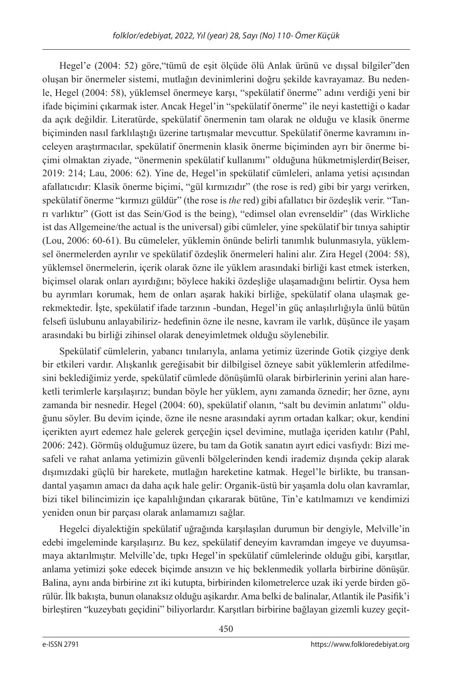Hegel'e (2004: 52) göre,"tümü de eşit ölçüde ölü Anlak ürünü ve dışsal bilgiler"den oluşan bir önermeler sistemi, mutlağın devinimlerini doğru şekilde kavrayamaz. Bu nedenle, Hegel (2004: 58), yüklemsel önermeye karşı, "spekülatif önerme" adını verdiği yeni bir ifade biçimini çıkarmak ister. Ancak Hegel'in "spekülatif önerme" ile neyi kastettiği o kadar da açık değildir. Literatürde, spekülatif önermenin tam olarak ne olduğu ve klasik önerme biçiminden nasıl farklılaştığı üzerine tartışmalar mevcuttur. Spekülatif önerme kavramını inceleyen araştırmacılar, spekülatif önermenin klasik önerme biçiminden ayrı bir önerme biçimi olmaktan ziyade, "önermenin spekülatif kullanımı" olduğuna hükmetmişlerdir(Beiser, 2019: 214; Lau, 2006: 62). Yine de, Hegel'in spekülatif cümleleri, anlama yetisi açısından afallatıcıdır: Klasik önerme biçimi, "gül kırmızıdır" (the rose is red) gibi bir yargı verirken, spekülatif önerme "kırmızı güldür" (the rose is *the* red) gibi afallatıcı bir özdeşlik verir. "Tanrı varlıktır" (Gott ist das Sein/God is the being), "edimsel olan evrenseldir" (das Wirkliche ist das Allgemeine/the actual is the universal) gibi cümleler, yine spekülatif bir tınıya sahiptir (Lou, 2006: 60-61). Bu cümeleler, yüklemin önünde belirli tanımlık bulunmasıyla, yüklemsel önermelerden ayrılır ve spekülatif özdeşlik önermeleri halini alır. Zira Hegel (2004: 58), yüklemsel önermelerin, içerik olarak özne ile yüklem arasındaki birliği kast etmek isterken, biçimsel olarak onları ayırdığını; böylece hakiki özdeşliğe ulaşamadığını belirtir. Oysa hem bu ayrımları korumak, hem de onları aşarak hakiki birliğe, spekülatif olana ulaşmak gerekmektedir. İşte, spekülatif ifade tarzının -bundan, Hegel'in güç anlaşılırlığıyla ünlü bütün felsefi üslubunu anlayabiliriz- hedefinin özne ile nesne, kavram ile varlık, düşünce ile yaşam arasındaki bu birliği zihinsel olarak deneyimletmek olduğu söylenebilir.

Spekülatif cümlelerin, yabancı tınılarıyla, anlama yetimiz üzerinde Gotik çizgiye denk bir etkileri vardır. Alışkanlık gereğisabit bir dilbilgisel özneye sabit yüklemlerin atfedilmesini beklediğimiz yerde, spekülatif cümlede dönüşümlü olarak birbirlerinin yerini alan hareketli terimlerle karşılaşırız; bundan böyle her yüklem, aynı zamanda öznedir; her özne, aynı zamanda bir nesnedir. Hegel (2004: 60), spekülatif olanın, "salt bu devimin anlatımı" olduğunu söyler. Bu devim içinde, özne ile nesne arasındaki ayrım ortadan kalkar; okur, kendini içerikten ayırt edemez hale gelerek gerçeğin içsel devimine, mutlağa içeriden katılır (Pahl, 2006: 242). Görmüş olduğumuz üzere, bu tam da Gotik sanatın ayırt edici vasfıydı: Bizi mesafeli ve rahat anlama yetimizin güvenli bölgelerinden kendi irademiz dışında çekip alarak dışımızdaki güçlü bir harekete, mutlağın hareketine katmak. Hegel'le birlikte, bu transandantal yaşamın amacı da daha açık hale gelir: Organik-üstü bir yaşamla dolu olan kavramlar, bizi tikel bilincimizin içe kapalılığından çıkararak bütüne, Tin'e katılmamızı ve kendimizi yeniden onun bir parçası olarak anlamamızı sağlar.

Hegelci diyalektiğin spekülatif uğrağında karşılaşılan durumun bir dengiyle, Melville'in edebi imgeleminde karşılaşırız. Bu kez, spekülatif deneyim kavramdan imgeye ve duyumsamaya aktarılmıştır. Melville'de, tıpkı Hegel'in spekülatif cümlelerinde olduğu gibi, karşıtlar, anlama yetimizi şoke edecek biçimde ansızın ve hiç beklenmedik yollarla birbirine dönüşür. Balina, aynı anda birbirine zıt iki kutupta, birbirinden kilometrelerce uzak iki yerde birden görülür. İlk bakışta, bunun olanaksız olduğu aşikardır. Ama belki de balinalar, Atlantik ile Pasifik'i birleştiren "kuzeybatı geçidini" biliyorlardır. Karşıtları birbirine bağlayan gizemli kuzey geçit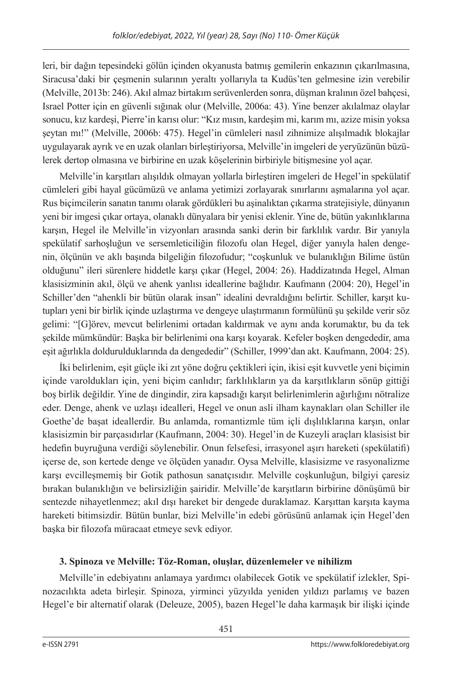leri, bir dağın tepesindeki gölün içinden okyanusta batmış gemilerin enkazının çıkarılmasına, Siracusa'daki bir çeşmenin sularının yeraltı yollarıyla ta Kudüs'ten gelmesine izin verebilir (Melville, 2013b: 246). Akıl almaz birtakım serüvenlerden sonra, düşman kralının özel bahçesi, Israel Potter için en güvenli sığınak olur (Melville, 2006a: 43). Yine benzer akılalmaz olaylar sonucu, kız kardeşi, Pierre'in karısı olur: "Kız mısın, kardeşim mi, karım mı, azize misin yoksa şeytan mı!" (Melville, 2006b: 475). Hegel'in cümleleri nasıl zihnimize alışılmadık blokajlar uygulayarak ayrık ve en uzak olanları birleştiriyorsa, Melville'in imgeleri de yeryüzünün büzülerek dertop olmasına ve birbirine en uzak köşelerinin birbiriyle bitişmesine yol açar.

Melville'in karşıtları alışıldık olmayan yollarla birleştiren imgeleri de Hegel'in spekülatif cümleleri gibi hayal gücümüzü ve anlama yetimizi zorlayarak sınırlarını aşmalarına yol açar. Rus biçimcilerin sanatın tanımı olarak gördükleri bu aşinalıktan çıkarma stratejisiyle, dünyanın yeni bir imgesi çıkar ortaya, olanaklı dünyalara bir yenisi eklenir. Yine de, bütün yakınlıklarına karşın, Hegel ile Melville'in vizyonları arasında sanki derin bir farklılık vardır. Bir yanıyla spekülatif sarhoşluğun ve sersemleticiliğin filozofu olan Hegel, diğer yanıyla halen dengenin, ölçünün ve aklı başında bilgeliğin filozofudur; "coşkunluk ve bulanıklığın Bilime üstün olduğunu" ileri sürenlere hiddetle karşı çıkar (Hegel, 2004: 26). Haddizatında Hegel, Alman klasisizminin akıl, ölçü ve ahenk yanlısı ideallerine bağlıdır. Kaufmann (2004: 20), Hegel'in Schiller'den "ahenkli bir bütün olarak insan" idealini devraldığını belirtir. Schiller, karşıt kutupları yeni bir birlik içinde uzlaştırma ve dengeye ulaştırmanın formülünü şu şekilde verir söz gelimi: "[G]örev, mevcut belirlenimi ortadan kaldırmak ve aynı anda korumaktır, bu da tek şekilde mümkündür: Başka bir belirlenimi ona karşı koyarak. Kefeler boşken dengededir, ama eşit ağırlıkla doldurulduklarında da dengededir" (Schiller, 1999'dan akt. Kaufmann, 2004: 25).

İki belirlenim, eşit güçle iki zıt yöne doğru çektikleri için, ikisi eşit kuvvetle yeni biçimin içinde varoldukları için, yeni biçim canlıdır; farklılıkların ya da karşıtlıkların sönüp gittiği boş birlik değildir. Yine de dingindir, zira kapsadığı karşıt belirlenimlerin ağırlığını nötralize eder. Denge, ahenk ve uzlaşı idealleri, Hegel ve onun asli ilham kaynakları olan Schiller ile Goethe'de başat ideallerdir. Bu anlamda, romantizmle tüm içli dışlılıklarına karşın, onlar klasisizmin bir parçasıdırlar (Kaufmann, 2004: 30). Hegel'in de Kuzeyli araçları klasisist bir hedefin buyruğuna verdiği söylenebilir. Onun felsefesi, irrasyonel aşırı hareketi (spekülatifi) içerse de, son kertede denge ve ölçüden yanadır. Oysa Melville, klasisizme ve rasyonalizme karşı evcilleşmemiş bir Gotik pathosun sanatçısıdır. Melville coşkunluğun, bilgiyi çaresiz bırakan bulanıklığın ve belirsizliğin şairidir. Melville'de karşıtların birbirine dönüşümü bir sentezde nihayetlenmez; akıl dışı hareket bir dengede duraklamaz. Karşıttan karşıta kayma hareketi bitimsizdir. Bütün bunlar, bizi Melville'in edebi görüsünü anlamak için Hegel'den başka bir filozofa müracaat etmeye sevk ediyor.

## **3. Spinoza ve Melville: Töz-Roman, oluşlar, düzenlemeler ve nihilizm**

Melville'in edebiyatını anlamaya yardımcı olabilecek Gotik ve spekülatif izlekler, Spinozacılıkta adeta birleşir. Spinoza, yirminci yüzyılda yeniden yıldızı parlamış ve bazen Hegel'e bir alternatif olarak (Deleuze, 2005), bazen Hegel'le daha karmaşık bir ilişki içinde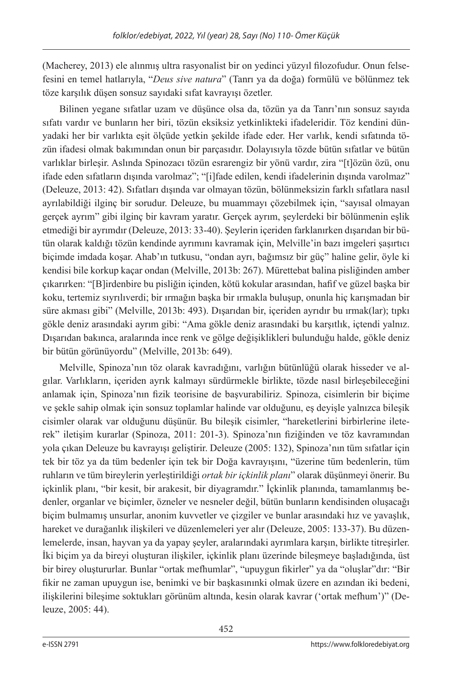(Macherey, 2013) ele alınmış ultra rasyonalist bir on yedinci yüzyıl filozofudur. Onun felsefesini en temel hatlarıyla, "*Deus sive natura*" (Tanrı ya da doğa) formülü ve bölünmez tek töze karşılık düşen sonsuz sayıdaki sıfat kavrayışı özetler.

Bilinen yegane sıfatlar uzam ve düşünce olsa da, tözün ya da Tanrı'nın sonsuz sayıda sıfatı vardır ve bunların her biri, tözün eksiksiz yetkinlikteki ifadeleridir. Töz kendini dünyadaki her bir varlıkta eşit ölçüde yetkin şekilde ifade eder. Her varlık, kendi sıfatında tözün ifadesi olmak bakımından onun bir parçasıdır. Dolayısıyla tözde bütün sıfatlar ve bütün varlıklar birleşir. Aslında Spinozacı tözün esrarengiz bir yönü vardır, zira "[t]özün özü, onu ifade eden sıfatların dışında varolmaz"; "[i]fade edilen, kendi ifadelerinin dışında varolmaz" (Deleuze, 2013: 42). Sıfatları dışında var olmayan tözün, bölünmeksizin farklı sıfatlara nasıl ayrılabildiği ilginç bir sorudur. Deleuze, bu muammayı çözebilmek için, "sayısal olmayan gerçek ayrım" gibi ilginç bir kavram yaratır. Gerçek ayrım, şeylerdeki bir bölünmenin eşlik etmediği bir ayrımdır (Deleuze, 2013: 33-40). Şeylerin içeriden farklanırken dışarıdan bir bütün olarak kaldığı tözün kendinde ayrımını kavramak için, Melville'in bazı imgeleri şaşırtıcı biçimde imdada koşar. Ahab'ın tutkusu, "ondan ayrı, bağımsız bir güç" haline gelir, öyle ki kendisi bile korkup kaçar ondan (Melville, 2013b: 267). Mürettebat balina pisliğinden amber çıkarırken: "[B]irdenbire bu pisliğin içinden, kötü kokular arasından, hafif ve güzel başka bir koku, tertemiz sıyrılıverdi; bir ırmağın başka bir ırmakla buluşup, onunla hiç karışmadan bir süre akması gibi" (Melville, 2013b: 493). Dışarıdan bir, içeriden ayrıdır bu ırmak(lar); tıpkı gökle deniz arasındaki ayrım gibi: "Ama gökle deniz arasındaki bu karşıtlık, içtendi yalnız. Dışarıdan bakınca, aralarında ince renk ve gölge değişiklikleri bulunduğu halde, gökle deniz bir bütün görünüyordu" (Melville, 2013b: 649).

Melville, Spinoza'nın töz olarak kavradığını, varlığın bütünlüğü olarak hisseder ve algılar. Varlıkların, içeriden ayrık kalmayı sürdürmekle birlikte, tözde nasıl birleşebileceğini anlamak için, Spinoza'nın fizik teorisine de başvurabiliriz. Spinoza, cisimlerin bir biçime ve şekle sahip olmak için sonsuz toplamlar halinde var olduğunu, eş deyişle yalnızca bileşik cisimler olarak var olduğunu düşünür. Bu bileşik cisimler, "hareketlerini birbirlerine ileterek" iletişim kurarlar (Spinoza, 2011: 201-3). Spinoza'nın fiziğinden ve töz kavramından yola çıkan Deleuze bu kavrayışı geliştirir. Deleuze (2005: 132), Spinoza'nın tüm sıfatlar için tek bir töz ya da tüm bedenler için tek bir Doğa kavrayışını, "üzerine tüm bedenlerin, tüm ruhların ve tüm bireylerin yerleştirildiği *ortak bir içkinlik planı*" olarak düşünmeyi önerir. Bu içkinlik planı, "bir kesit, bir arakesit, bir diyagramdır." İçkinlik planında, tamamlanmış bedenler, organlar ve biçimler, özneler ve nesneler değil, bütün bunların kendisinden oluşacağı biçim bulmamış unsurlar, anonim kuvvetler ve çizgiler ve bunlar arasındaki hız ve yavaşlık, hareket ve durağanlık ilişkileri ve düzenlemeleri yer alır (Deleuze, 2005: 133-37). Bu düzenlemelerde, insan, hayvan ya da yapay şeyler, aralarındaki ayrımlara karşın, birlikte titreşirler. İki biçim ya da bireyi oluşturan ilişkiler, içkinlik planı üzerinde bileşmeye başladığında, üst bir birey oluştururlar. Bunlar "ortak mefhumlar", "upuygun fikirler" ya da "oluşlar"dır: "Bir fikir ne zaman upuygun ise, benimki ve bir başkasınınki olmak üzere en azından iki bedeni, ilişkilerini bileşime soktukları görünüm altında, kesin olarak kavrar ('ortak mefhum')" (Deleuze, 2005: 44).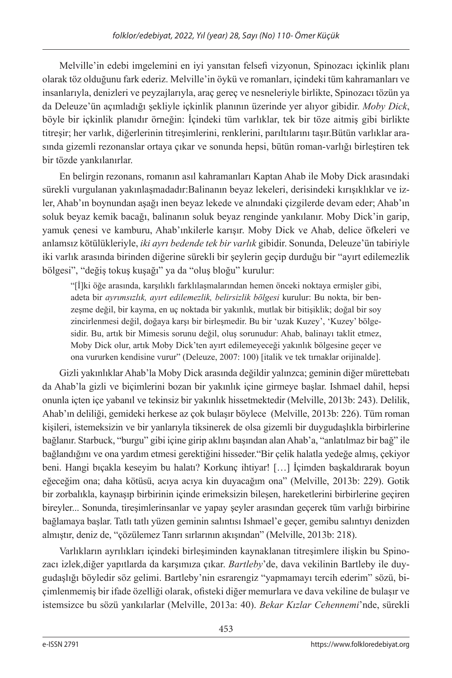Melville'in edebi imgelemini en iyi yansıtan felsefi vizyonun, Spinozacı içkinlik planı olarak töz olduğunu fark ederiz. Melville'in öykü ve romanları, içindeki tüm kahramanları ve insanlarıyla, denizleri ve peyzajlarıyla, araç gereç ve nesneleriyle birlikte, Spinozacı tözün ya da Deleuze'ün açımladığı şekliyle içkinlik planının üzerinde yer alıyor gibidir. *Moby Dick*, böyle bir içkinlik planıdır örneğin: İçindeki tüm varlıklar, tek bir töze aitmiş gibi birlikte titreşir; her varlık, diğerlerinin titreşimlerini, renklerini, parıltılarını taşır.Bütün varlıklar arasında gizemli rezonanslar ortaya çıkar ve sonunda hepsi, bütün roman-varlığı birleştiren tek bir tözde yankılanırlar.

En belirgin rezonans, romanın asıl kahramanları Kaptan Ahab ile Moby Dick arasındaki sürekli vurgulanan yakınlaşmadadır:Balinanın beyaz lekeleri, derisindeki kırışıklıklar ve izler, Ahab'ın boynundan aşağı inen beyaz lekede ve alnındaki çizgilerde devam eder; Ahab'ın soluk beyaz kemik bacağı, balinanın soluk beyaz renginde yankılanır. Moby Dick'in garip, yamuk çenesi ve kamburu, Ahab'ınkilerle karışır. Moby Dick ve Ahab, delice öfkeleri ve anlamsız kötülükleriyle, *iki ayrı bedende tek bir varlık* gibidir. Sonunda, Deleuze'ün tabiriyle iki varlık arasında birinden diğerine sürekli bir şeylerin geçip durduğu bir "ayırt edilemezlik bölgesi", "değiş tokuş kuşağı" ya da "oluş bloğu" kurulur:

"[İ]ki öğe arasında, karşılıklı farklılaşmalarından hemen önceki noktaya ermişler gibi, adeta bir *ayrımsızlık, ayırt edilemezlik, belirsizlik bölgesi* kurulur: Bu nokta, bir benzeşme değil, bir kayma, en uç noktada bir yakınlık, mutlak bir bitişiklik; doğal bir soy zincirlenmesi değil, doğaya karşı bir birleşmedir. Bu bir 'uzak Kuzey', 'Kuzey' bölgesidir. Bu, artık bir Mimesis sorunu değil, oluş sorunudur: Ahab, balinayı taklit etmez, Moby Dick olur, artık Moby Dick'ten ayırt edilemeyeceği yakınlık bölgesine geçer ve ona vururken kendisine vurur" (Deleuze, 2007: 100) [italik ve tek tırnaklar orijinalde].

Gizli yakınlıklar Ahab'la Moby Dick arasında değildir yalınzca; geminin diğer mürettebatı da Ahab'la gizli ve biçimlerini bozan bir yakınlık içine girmeye başlar. Ishmael dahil, hepsi onunla içten içe yabanıl ve tekinsiz bir yakınlık hissetmektedir (Melville, 2013b: 243). Delilik, Ahab'ın deliliği, gemideki herkese az çok bulaşır böylece (Melville, 2013b: 226). Tüm roman kişileri, istemeksizin ve bir yanlarıyla tiksinerek de olsa gizemli bir duygudaşlıkla birbirlerine bağlanır. Starbuck, "burgu" gibi içine girip aklını başından alan Ahab'a, "anlatılmaz bir bağ" ile bağlandığını ve ona yardım etmesi gerektiğini hisseder."Bir çelik halatla yedeğe almış, çekiyor beni. Hangi bıçakla keseyim bu halatı? Korkunç ihtiyar! […] İçimden başkaldırarak boyun eğeceğim ona; daha kötüsü, acıya acıya kin duyacağım ona" (Melville, 2013b: 229). Gotik bir zorbalıkla, kaynaşıp birbirinin içinde erimeksizin bileşen, hareketlerini birbirlerine geçiren bireyler... Sonunda, tireşimlerinsanlar ve yapay şeyler arasından geçerek tüm varlığı birbirine bağlamaya başlar. Tatlı tatlı yüzen geminin salıntısı Ishmael'e geçer, gemibu salıntıyı denizden almıştır, deniz de, "çözülemez Tanrı sırlarının akışından" (Melville, 2013b: 218).

Varlıkların ayrılıkları içindeki birleşiminden kaynaklanan titreşimlere ilişkin bu Spinozacı izlek,diğer yapıtlarda da karşımıza çıkar. *Bartleby*'de, dava vekilinin Bartleby ile duygudaşlığı böyledir söz gelimi. Bartleby'nin esrarengiz "yapmamayı tercih ederim" sözü, biçimlenmemiş bir ifade özelliği olarak, ofisteki diğer memurlara ve dava vekiline de bulaşır ve istemsizce bu sözü yankılarlar (Melville, 2013a: 40). *Bekar Kızlar Cehennemi*'nde, sürekli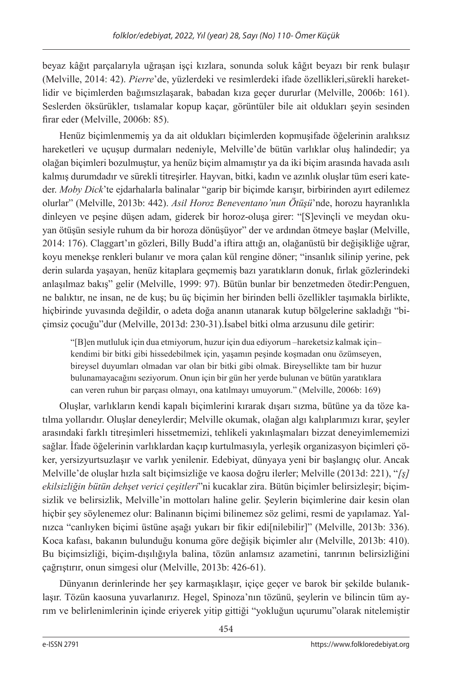beyaz kâğıt parçalarıyla uğraşan işçi kızlara, sonunda soluk kâğıt beyazı bir renk bulaşır (Melville, 2014: 42). *Pierre*'de, yüzlerdeki ve resimlerdeki ifade özellikleri,sürekli hareketlidir ve biçimlerden bağımsızlaşarak, babadan kıza geçer dururlar (Melville, 2006b: 161). Seslerden öksürükler, tıslamalar kopup kaçar, görüntüler bile ait oldukları şeyin sesinden firar eder (Melville, 2006b: 85).

Henüz biçimlenmemiş ya da ait oldukları biçimlerden kopmuşifade öğelerinin aralıksız hareketleri ve uçuşup durmaları nedeniyle, Melville'de bütün varlıklar oluş halindedir; ya olağan biçimleri bozulmuştur, ya henüz biçim almamıştır ya da iki biçim arasında havada asılı kalmış durumdadır ve sürekli titreşirler. Hayvan, bitki, kadın ve azınlık oluşlar tüm eseri kateder. *Moby Dick*'te ejdarhalarla balinalar "garip bir biçimde karışır, birbirinden ayırt edilemez olurlar" (Melville, 2013b: 442). *Asil Horoz Beneventano'nun Ötüşü*'nde, horozu hayranlıkla dinleyen ve peşine düşen adam, giderek bir horoz-oluşa girer: "[S]evinçli ve meydan okuyan ötüşün sesiyle ruhum da bir horoza dönüşüyor" der ve ardından ötmeye başlar (Melville, 2014: 176). Claggart'ın gözleri, Billy Budd'a iftira attığı an, olağanüstü bir değişikliğe uğrar, koyu menekşe renkleri bulanır ve mora çalan kül rengine döner; "insanlık silinip yerine, pek derin sularda yaşayan, henüz kitaplara geçmemiş bazı yaratıkların donuk, fırlak gözlerindeki anlaşılmaz bakış" gelir (Melville, 1999: 97). Bütün bunlar bir benzetmeden ötedir:Penguen, ne balıktır, ne insan, ne de kuş; bu üç biçimin her birinden belli özellikler taşımakla birlikte, hiçbirinde yuvasında değildir, o adeta doğa ananın utanarak kutup bölgelerine sakladığı "biçimsiz çocuğu"dur (Melville, 2013d: 230-31).İsabel bitki olma arzusunu dile getirir:

"[B]en mutluluk için dua etmiyorum, huzur için dua ediyorum –hareketsiz kalmak için– kendimi bir bitki gibi hissedebilmek için, yaşamın peşinde koşmadan onu özümseyen, bireysel duyumları olmadan var olan bir bitki gibi olmak. Bireysellikte tam bir huzur bulunamayacağını seziyorum. Onun için bir gün her yerde bulunan ve bütün yaratıklara can veren ruhun bir parçası olmayı, ona katılmayı umuyorum." (Melville, 2006b: 169)

Oluşlar, varlıkların kendi kapalı biçimlerini kırarak dışarı sızma, bütüne ya da töze katılma yollarıdır. Oluşlar deneylerdir; Melville okumak, olağan algı kalıplarımızı kırar, şeyler arasındaki farklı titreşimleri hissetmemizi, tehlikeli yakınlaşmaları bizzat deneyimlememizi sağlar. İfade öğelerinin varlıklardan kaçıp kurtulmasıyla, yerleşik organizasyon biçimleri çöker, yersizyurtsuzlaşır ve varlık yenilenir. Edebiyat, dünyaya yeni bir başlangıç olur. Ancak Melville'de oluşlar hızla salt biçimsizliğe ve kaosa doğru ilerler; Melville (2013d: 221), "*[ş] ekilsizliğin bütün dehşet verici çeşitleri*"ni kucaklar zira. Bütün biçimler belirsizleşir; biçimsizlik ve belirsizlik, Melville'in mottoları haline gelir. Şeylerin biçimlerine dair kesin olan hiçbir şey söylenemez olur: Balinanın biçimi bilinemez söz gelimi, resmi de yapılamaz. Yalnızca "canlıyken biçimi üstüne aşağı yukarı bir fikir edi[nilebilir]" (Melville, 2013b: 336). Koca kafası, bakanın bulunduğu konuma göre değişik biçimler alır (Melville, 2013b: 410). Bu biçimsizliği, biçim-dışılığıyla balina, tözün anlamsız azametini, tanrının belirsizliğini çağrıştırır, onun simgesi olur (Melville, 2013b: 426-61).

Dünyanın derinlerinde her şey karmaşıklaşır, içiçe geçer ve barok bir şekilde bulanıklaşır. Tözün kaosuna yuvarlanırız. Hegel, Spinoza'nın tözünü, şeylerin ve bilincin tüm ayrım ve belirlenimlerinin içinde eriyerek yitip gittiği "yokluğun uçurumu"olarak nitelemiştir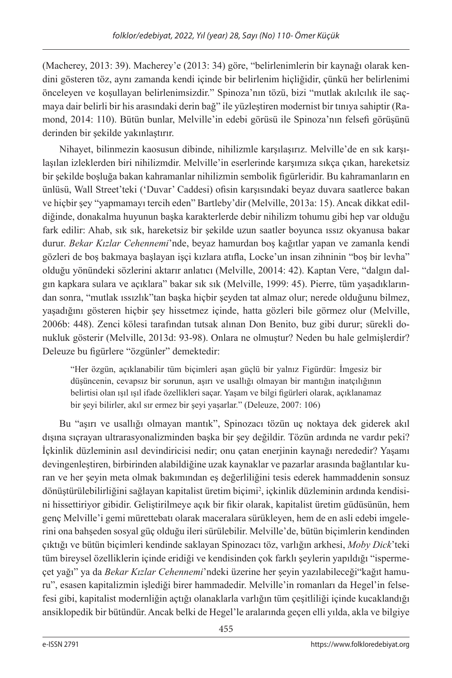(Macherey, 2013: 39). Macherey'e (2013: 34) göre, "belirlenimlerin bir kaynağı olarak kendini gösteren töz, aynı zamanda kendi içinde bir belirlenim hiçliğidir, çünkü her belirlenimi önceleyen ve koşullayan belirlenimsizdir." Spinoza'nın tözü, bizi "mutlak akılcılık ile saçmaya dair belirli bir his arasındaki derin bağ" ile yüzleştiren modernist bir tınıya sahiptir (Ramond, 2014: 110). Bütün bunlar, Melville'in edebi görüsü ile Spinoza'nın felsefi görüşünü derinden bir şekilde yakınlaştırır.

Nihayet, bilinmezin kaosusun dibinde, nihilizmle karşılaşırız. Melville'de en sık karşılaşılan izleklerden biri nihilizmdir. Melville'in eserlerinde karşımıza sıkça çıkan, hareketsiz bir şekilde boşluğa bakan kahramanlar nihilizmin sembolik figürleridir. Bu kahramanların en ünlüsü, Wall Street'teki ('Duvar' Caddesi) ofisin karşısındaki beyaz duvara saatlerce bakan ve hiçbir şey "yapmamayı tercih eden" Bartleby'dir (Melville, 2013a: 15). Ancak dikkat edildiğinde, donakalma huyunun başka karakterlerde debir nihilizm tohumu gibi hep var olduğu fark edilir: Ahab, sık sık, hareketsiz bir şekilde uzun saatler boyunca ıssız okyanusa bakar durur. *Bekar Kızlar Cehennemi*'nde, beyaz hamurdan boş kağıtlar yapan ve zamanla kendi gözleri de boş bakmaya başlayan işçi kızlara atıfla, Locke'un insan zihninin "boş bir levha" olduğu yönündeki sözlerini aktarır anlatıcı (Melville, 20014: 42). Kaptan Vere, "dalgın dalgın kapkara sulara ve açıklara" bakar sık sık (Melville, 1999: 45). Pierre, tüm yaşadıklarından sonra, "mutlak ıssızlık"tan başka hiçbir şeyden tat almaz olur; nerede olduğunu bilmez, yaşadığını gösteren hiçbir şey hissetmez içinde, hatta gözleri bile görmez olur (Melville, 2006b: 448). Zenci kölesi tarafından tutsak alınan Don Benito, buz gibi durur; sürekli donukluk gösterir (Melville, 2013d: 93-98). Onlara ne olmuştur? Neden bu hale gelmişlerdir? Deleuze bu figürlere "özgünler" demektedir:

"Her özgün, açıklanabilir tüm biçimleri aşan güçlü bir yalnız Figürdür: İmgesiz bir düşüncenin, cevapsız bir sorunun, aşırı ve usallığı olmayan bir mantığın inatçılığının belirtisi olan ışıl ışıl ifade özellikleri saçar. Yaşam ve bilgi figürleri olarak, açıklanamaz bir şeyi bilirler, akıl sır ermez bir şeyi yaşarlar." (Deleuze, 2007: 106)

Bu "aşırı ve usallığı olmayan mantık", Spinozacı tözün uç noktaya dek giderek akıl dışına sıçrayan ultrarasyonalizminden başka bir şey değildir. Tözün ardında ne vardır peki? İçkinlik düzleminin asıl devindiricisi nedir; onu çatan enerjinin kaynağı nerededir? Yaşamı devingenleştiren, birbirinden alabildiğine uzak kaynaklar ve pazarlar arasında bağlantılar kuran ve her şeyin meta olmak bakımından eş değerliliğini tesis ederek hammaddenin sonsuz dönüştürülebilirliğini sağlayan kapitalist üretim biçimi2 , içkinlik düzleminin ardında kendisini hissettiriyor gibidir. Geliştirilmeye açık bir fikir olarak, kapitalist üretim güdüsünün, hem genç Melville'i gemi mürettebatı olarak maceralara sürükleyen, hem de en asli edebi imgelerini ona bahşeden sosyal güç olduğu ileri sürülebilir. Melville'de, bütün biçimlerin kendinden çıktığı ve bütün biçimleri kendinde saklayan Spinozacı töz, varlığın arkhesi, *Moby Dick*'teki tüm bireysel özelliklerin içinde eridiği ve kendisinden çok farklı şeylerin yapıldığı "ispermeçet yağı" ya da *Bekar Kızlar Cehennemi*'ndeki üzerine her şeyin yazılabileceği"kağıt hamuru", esasen kapitalizmin işlediği birer hammadedir. Melville'in romanları da Hegel'in felsefesi gibi, kapitalist modernliğin açtığı olanaklarla varlığın tüm çeşitliliği içinde kucaklandığı ansiklopedik bir bütündür. Ancak belki de Hegel'le aralarında geçen elli yılda, akla ve bilgiye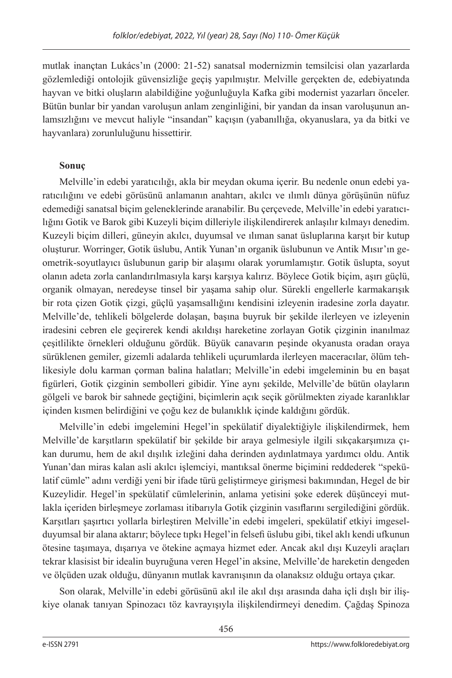mutlak inançtan Lukács'ın (2000: 21-52) sanatsal modernizmin temsilcisi olan yazarlarda gözlemlediği ontolojik güvensizliğe geçiş yapılmıştır. Melville gerçekten de, edebiyatında hayvan ve bitki oluşların alabildiğine yoğunluğuyla Kafka gibi modernist yazarları önceler. Bütün bunlar bir yandan varoluşun anlam zenginliğini, bir yandan da insan varoluşunun anlamsızlığını ve mevcut haliyle "insandan" kaçışın (yabanıllığa, okyanuslara, ya da bitki ve hayvanlara) zorunluluğunu hissettirir.

## **Sonuç**

Melville'in edebi yaratıcılığı, akla bir meydan okuma içerir. Bu nedenle onun edebi yaratıcılığını ve edebi görüsünü anlamanın anahtarı, akılcı ve ılımlı dünya görüşünün nüfuz edemediği sanatsal biçim geleneklerinde aranabilir. Bu çerçevede, Melville'in edebi yaratıcılığını Gotik ve Barok gibi Kuzeyli biçim dilleriyle ilişkilendirerek anlaşılır kılmayı denedim. Kuzeyli biçim dilleri, güneyin akılcı, duyumsal ve ılıman sanat üsluplarına karşıt bir kutup oluşturur. Worringer, Gotik üslubu, Antik Yunan'ın organik üslubunun ve Antik Mısır'ın geometrik-soyutlayıcı üslubunun garip bir alaşımı olarak yorumlamıştır. Gotik üslupta, soyut olanın adeta zorla canlandırılmasıyla karşı karşıya kalırız. Böylece Gotik biçim, aşırı güçlü, organik olmayan, neredeyse tinsel bir yaşama sahip olur. Sürekli engellerle karmakarışık bir rota çizen Gotik çizgi, güçlü yaşamsallığını kendisini izleyenin iradesine zorla dayatır. Melville'de, tehlikeli bölgelerde dolaşan, başına buyruk bir şekilde ilerleyen ve izleyenin iradesini cebren ele geçirerek kendi akıldışı hareketine zorlayan Gotik çizginin inanılmaz çeşitlilikte örnekleri olduğunu gördük. Büyük canavarın peşinde okyanusta oradan oraya sürüklenen gemiler, gizemli adalarda tehlikeli uçurumlarda ilerleyen maceracılar, ölüm tehlikesiyle dolu karman çorman balina halatları; Melville'in edebi imgeleminin bu en başat figürleri, Gotik çizginin sembolleri gibidir. Yine aynı şekilde, Melville'de bütün olayların gölgeli ve barok bir sahnede geçtiğini, biçimlerin açık seçik görülmekten ziyade karanlıklar içinden kısmen belirdiğini ve çoğu kez de bulanıklık içinde kaldığını gördük.

Melville'in edebi imgelemini Hegel'in spekülatif diyalektiğiyle ilişkilendirmek, hem Melville'de karşıtların spekülatif bir şekilde bir araya gelmesiyle ilgili sıkçakarşımıza çıkan durumu, hem de akıl dışılık izleğini daha derinden aydınlatmaya yardımcı oldu. Antik Yunan'dan miras kalan asli akılcı işlemciyi, mantıksal önerme biçimini reddederek "spekülatif cümle" adını verdiği yeni bir ifade türü geliştirmeye girişmesi bakımından, Hegel de bir Kuzeylidir. Hegel'in spekülatif cümlelerinin, anlama yetisini şoke ederek düşünceyi mutlakla içeriden birleşmeye zorlaması itibarıyla Gotik çizginin vasıflarını sergilediğini gördük. Karşıtları şaşırtıcı yollarla birleştiren Melville'in edebi imgeleri, spekülatif etkiyi imgeselduyumsal bir alana aktarır; böylece tıpkı Hegel'in felsefi üslubu gibi, tikel aklı kendi ufkunun ötesine taşımaya, dışarıya ve ötekine açmaya hizmet eder. Ancak akıl dışı Kuzeyli araçları tekrar klasisist bir idealin buyruğuna veren Hegel'in aksine, Melville'de hareketin dengeden ve ölçüden uzak olduğu, dünyanın mutlak kavranışının da olanaksız olduğu ortaya çıkar.

Son olarak, Melville'in edebi görüsünü akıl ile akıl dışı arasında daha içli dışlı bir ilişkiye olanak tanıyan Spinozacı töz kavrayışıyla ilişkilendirmeyi denedim. Çağdaş Spinoza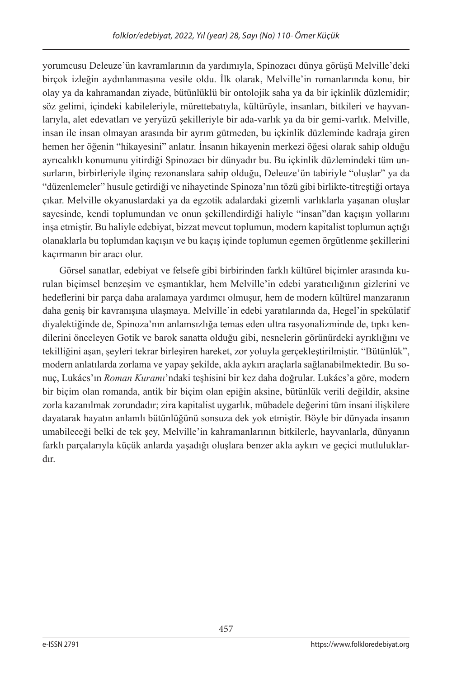yorumcusu Deleuze'ün kavramlarının da yardımıyla, Spinozacı dünya görüşü Melville'deki birçok izleğin aydınlanmasına vesile oldu. İlk olarak, Melville'in romanlarında konu, bir olay ya da kahramandan ziyade, bütünlüklü bir ontolojik saha ya da bir içkinlik düzlemidir; söz gelimi, içindeki kabileleriyle, mürettebatıyla, kültürüyle, insanları, bitkileri ve hayvanlarıyla, alet edevatları ve yeryüzü şekilleriyle bir ada-varlık ya da bir gemi-varlık. Melville, insan ile insan olmayan arasında bir ayrım gütmeden, bu içkinlik düzleminde kadraja giren hemen her öğenin "hikayesini" anlatır. İnsanın hikayenin merkezi öğesi olarak sahip olduğu ayrıcalıklı konumunu yitirdiği Spinozacı bir dünyadır bu. Bu içkinlik düzlemindeki tüm unsurların, birbirleriyle ilginç rezonanslara sahip olduğu, Deleuze'ün tabiriyle "oluşlar" ya da "düzenlemeler" husule getirdiği ve nihayetinde Spinoza'nın tözü gibi birlikte-titreştiği ortaya çıkar. Melville okyanuslardaki ya da egzotik adalardaki gizemli varlıklarla yaşanan oluşlar sayesinde, kendi toplumundan ve onun şekillendirdiği haliyle "insan"dan kaçışın yollarını inşa etmiştir. Bu haliyle edebiyat, bizzat mevcut toplumun, modern kapitalist toplumun açtığı olanaklarla bu toplumdan kaçışın ve bu kaçış içinde toplumun egemen örgütlenme şekillerini kaçırmanın bir aracı olur.

Görsel sanatlar, edebiyat ve felsefe gibi birbirinden farklı kültürel biçimler arasında kurulan biçimsel benzeşim ve eşmantıklar, hem Melville'in edebi yaratıcılığının gizlerini ve hedeflerini bir parça daha aralamaya yardımcı olmuşur, hem de modern kültürel manzaranın daha geniş bir kavranışına ulaşmaya. Melville'in edebi yaratılarında da, Hegel'in spekülatif diyalektiğinde de, Spinoza'nın anlamsızlığa temas eden ultra rasyonalizminde de, tıpkı kendilerini önceleyen Gotik ve barok sanatta olduğu gibi, nesnelerin görünürdeki ayrıklığını ve tekilliğini aşan, şeyleri tekrar birleşiren hareket, zor yoluyla gerçekleştirilmiştir. "Bütünlük", modern anlatılarda zorlama ve yapay şekilde, akla aykırı araçlarla sağlanabilmektedir. Bu sonuç, Lukács'ın *Roman Kuramı*'ndaki teşhisini bir kez daha doğrular. Lukács'a göre, modern bir biçim olan romanda, antik bir biçim olan epiğin aksine, bütünlük verili değildir, aksine zorla kazanılmak zorundadır; zira kapitalist uygarlık, mübadele değerini tüm insani ilişkilere dayatarak hayatın anlamlı bütünlüğünü sonsuza dek yok etmiştir. Böyle bir dünyada insanın umabileceği belki de tek şey, Melville'in kahramanlarının bitkilerle, hayvanlarla, dünyanın farklı parçalarıyla küçük anlarda yaşadığı oluşlara benzer akla aykırı ve geçici mutluluklardır.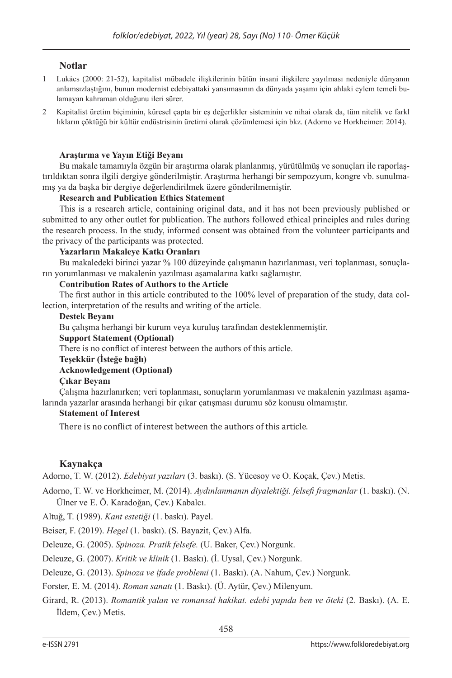### **Notlar**

- 1 Lukács (2000: 21-52), kapitalist mübadele ilişkilerinin bütün insani ilişkilere yayılması nedeniyle dünyanın anlamsızlaştığını, bunun modernist edebiyattaki yansımasının da dünyada yaşamı için ahlaki eylem temeli bulamayan kahraman olduğunu ileri sürer.
- 2 Kapitalist üretim biçiminin, küresel çapta bir eş değerlikler sisteminin ve nihai olarak da, tüm nitelik ve farkl lıkların çöktüğü bir kültür endüstrisinin üretimi olarak çözümlemesi için bkz. (Adorno ve Horkheimer: 2014).

#### **Araştırma ve Yayın Etiği Beyanı**

Bu makale tamamıyla özgün bir araştırma olarak planlanmış, yürütülmüş ve sonuçları ile raporlaştırıldıktan sonra ilgili dergiye gönderilmiştir. Araştırma herhangi bir sempozyum, kongre vb. sunulmamış ya da başka bir dergiye değerlendirilmek üzere gönderilmemiştir.

#### **Research and Publication Ethics Statement**

This is a research article, containing original data, and it has not been previously published or submitted to any other outlet for publication. The authors followed ethical principles and rules during the research process. In the study, informed consent was obtained from the volunteer participants and the privacy of the participants was protected.

#### **Yazarların Makaleye Katkı Oranları**

Bu makaledeki birinci yazar % 100 düzeyinde çalışmanın hazırlanması, veri toplanması, sonuçların yorumlanması ve makalenin yazılması aşamalarına katkı sağlamıştır.

#### **Contribution Rates of Authors to the Article**

The first author in this article contributed to the 100% level of preparation of the study, data collection, interpretation of the results and writing of the article.

#### **Destek Beyanı**

Bu çalışma herhangi bir kurum veya kuruluş tarafından desteklenmemiştir.

#### **Support Statement (Optional)**

There is no conflict of interest between the authors of this article.

#### **Teşekkür (İsteğe bağlı)**

**Acknowledgement (Optional)**

#### **Çıkar Beyanı**

Çalışma hazırlanırken; veri toplanması, sonuçların yorumlanması ve makalenin yazılması aşamalarında yazarlar arasında herhangi bir çıkar çatışması durumu söz konusu olmamıştır.

#### **Statement of Interest**

There is no conflict of interest between the authors of this article.

#### **Kaynakça**

Adorno, T. W. (2012). *Edebiyat yazıları* (3. baskı). (S. Yücesoy ve O. Koçak, Çev.) Metis.

Adorno, T. W. ve Horkheimer, M. (2014). *Aydınlanmanın diyalektiği. felsefi fragmanlar* (1. baskı). (N. Ülner ve E. Ö. Karadoğan, Çev.) Kabalcı.

Altuğ, T. (1989). *Kant estetiği* (1. baskı). Payel.

Beiser, F. (2019). *Hegel* (1. baskı). (S. Bayazit, Çev.) Alfa.

Deleuze, G. (2005). *Spinoza. Pratik felsefe.* (U. Baker, Çev.) Norgunk.

Deleuze, G. (2007). *Kritik ve klinik* (1. Baskı). (İ. Uysal, Çev.) Norgunk.

Deleuze, G. (2013). *Spinoza ve ifade problemi* (1. Baskı). (A. Nahum, Çev.) Norgunk.

Forster, E. M. (2014). *Roman sanatı* (1. Baskı). (Ü. Aytür, Çev.) Milenyum.

Girard, R. (2013). *Romantik yalan ve romansal hakikat. edebi yapıda ben ve öteki* (2. Baskı). (A. E. İldem, Çev.) Metis.